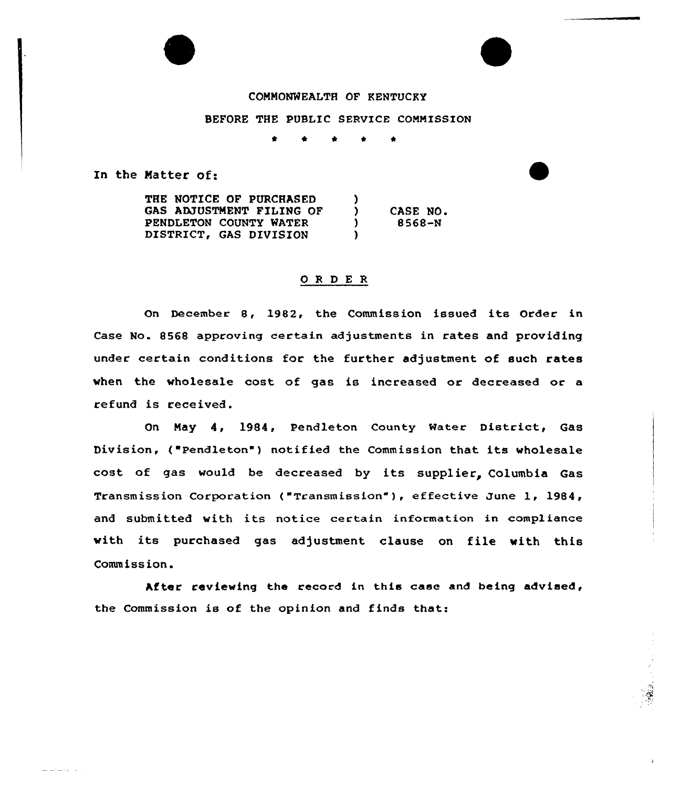## COMMONWEALTH OF KENTUCKY

#### BEFORE THE PUBLIC SERUICE COMMISSION

t t \* t \*

In the Natter of:

-------

THE NOTICE OF PURCHASED GAS ADJUSTMENT FILING OF PENDLETON COUNTY MATER DISTRICT, GAS DIVISION )<br>) ) CASE NO.<br>
1 8568-N ) 8568-N  $\mathbf{I}$ 

### ORDER

On December 8, 1982, the Commission issued its Order in Case No. 8568 approving certain adjustments in rates and providing under certain conditions for the further adjustment of such rates when the wholesale cost of gas is increased or decreased or a refund is received.

On Nay 4, 1984, Pendleton County Mater District, Gas Division, ("Pendleton") notified the Commission that its wholesale cost of gas would be decreased by its supplier, Columbia Gas Transmission Corporation ("Transmission" ), effective June 1, 1984, and submitted with its notice certain information in compliance with its purchased gas adjustment clause on file with this Comm iss ion.

After reviewing the record in this case and being advised, the Commission is of the opinion and finds that: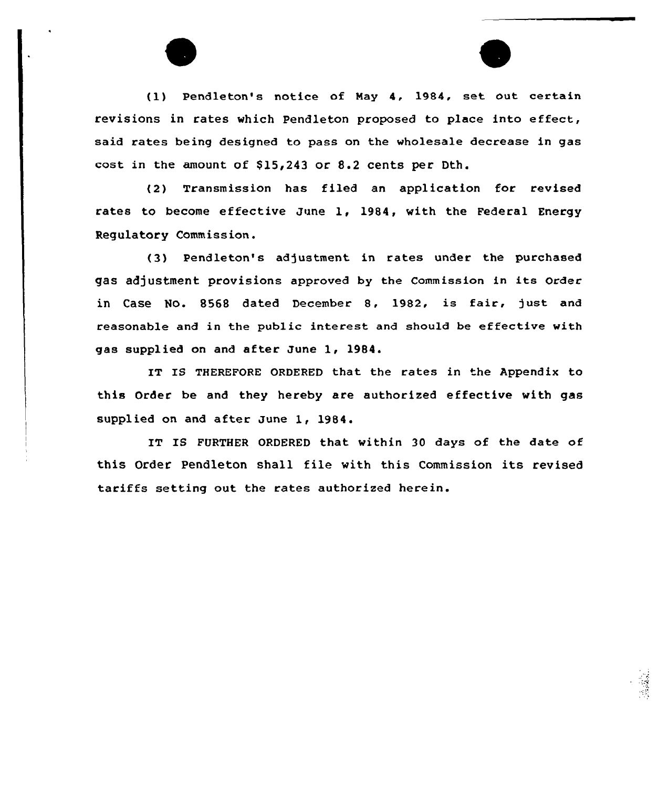(1) Pendleton's notice of May 4, 1984, set out certain revisions in rates which Pendleton proposed to place into effect, said rates being designed to pass on the wholesale decrease in gas cost in the amount of  $$15,243$  or  $8.2$  cents per Dth.

(2) Transmission has filed an application for revised rates to become effective June 1, 1984, with the Federal Energy Regulatory Commission.

(3) Pendleton's adjustment in rates under the purchased gas adjustment provisions approved by the commission in its order in Case No. 8568 dated December 8, 1982, is fair, )ust and reasonable and in the public interest and should be effective with gas supplied on and after June 1, 1984.

IT IS THEREFORE ORDERED that the rates in the Appendix to this Order be and they hereby are authorized effective with gas supplied on and after June 1, 1984.

IT IS FURTHER ORDERED that within 30 days of the date of this Order Pendleton shall file with this Commission its revised tariffs setting out the rates authorized herein.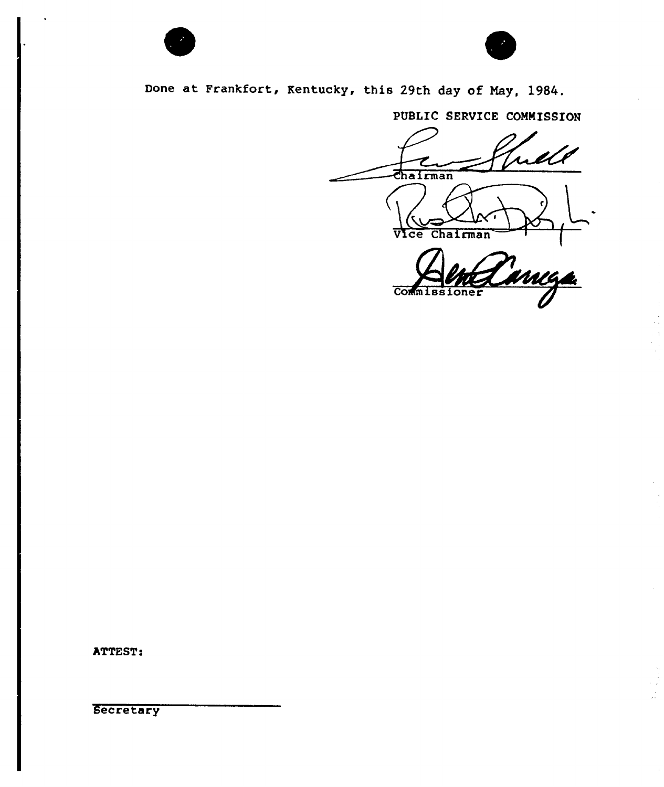



Done at Frankfort, kentucky, this 29th day of Nay, 1984.

PUBLIC SERVICE COMMISSION

Chairman Vice Chairman WAA

Comm 186 ner

ATTEST:

**Secretary**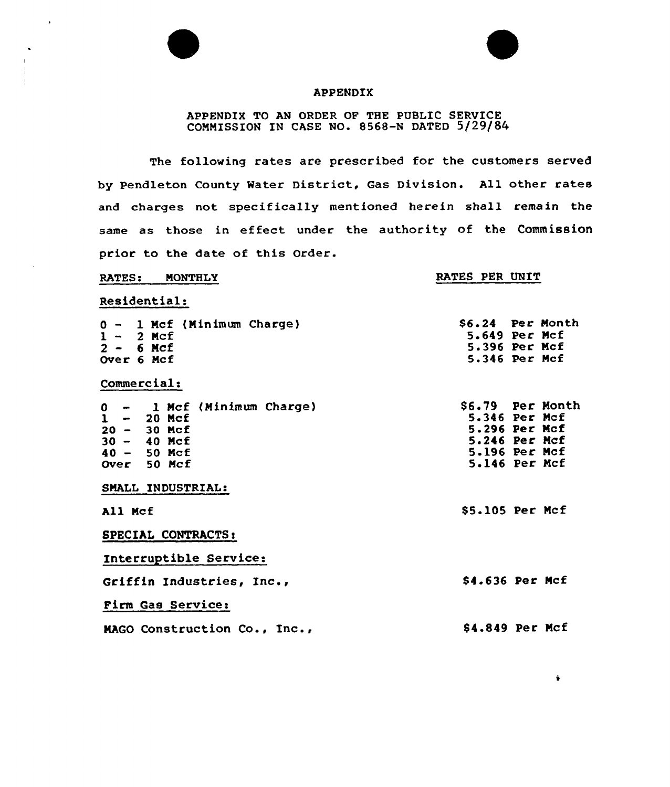

4

### APPENDIX

# APPENDIX TO AN ORDER OF THE PUBLIC SERVICE COMMISSION IN CASE NO. 8568-N DATED 5/29/84

The following rates are prescribed for the customers served by Pendleton County Water District, Gas Division. All other rates and charges not specifically mentioned herein shall remain the same as those in effeet under the authority of the Commission prior to the date of this Order.

| <b>MONTHLY</b><br><b>RATES:</b> | RATES PER UNIT |                  |
|---------------------------------|----------------|------------------|
| Residential:                    |                |                  |
| 0 - 1 Mcf (Minimum Charge)      |                | S6.24 Per Month  |
| $1 - 2$ Mcf                     |                | 5.649 Per Mcf    |
| $2 - 6$ Mcf                     |                | 5.396 Per Mcf    |
| Over 6 Mcf                      |                | 5.346 Per Mcf    |
| Commercial:                     |                |                  |
| 0 - 1 Mcf (Minimum Charge)      |                | \$6.79 Per Month |
| $1 - 20$ Mcf                    |                | 5.346 Per Mcf    |
| $20 - 30$ Mcf                   |                | 5.296 Per Mcf    |
| $30 - 40$ Mcf                   |                | 5.246 Per Mcf    |
| $40 - 50$ Mcf                   |                | 5.196 Per Mcf    |
| Over 50 Mcf                     |                | 5.146 Per Mcf    |
| SMALL INDUSTRIAL:               |                |                  |
| All Mcf                         |                | \$5.105 Per Mcf  |
| SPECIAL CONTRACTS:              |                |                  |
| Interruptible Service:          |                |                  |
| Griffin Industries, Inc.,       |                | \$4.636 Per Mcf  |
| Firm Gas Service:               |                |                  |
| MAGO Construction Co., Inc.,    |                | \$4.849 Per Mcf  |